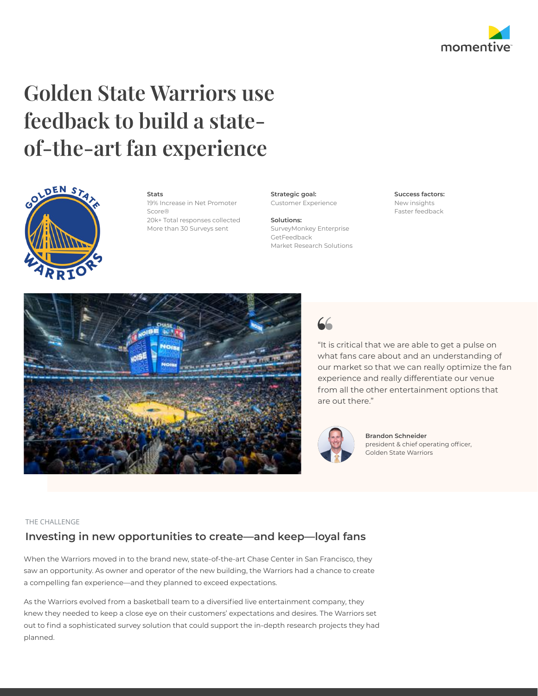

# Golden State Warriors use feedback to build a stateof-the-art fan experience



#### Stats 19% Increase in Net Promoter

Score® 20k+ Total responses collected

More than 30 Surveys sent

Strategic goal: Customer Experience

Solutions: SurveyMonkey Enterprise GetFeedback Market Research Solutions

#### Success factors: New insights

Faster feedback





"It is critical that we are able to get a pulse on what fans care about and an understanding of our market so that we can really optimize the fan experience and really differentiate our venue from all the other entertainment options that are out there."



Brandon Schneider president & chief operating officer, Golden State Warriors

## THE CHALLENGE

# Investing in new opportunities to create—and keep—loyal fans

When the Warriors moved in to the brand new, state-of-the-art Chase Center in San Francisco, they saw an opportunity. As owner and operator of the new building, the Warriors had a chance to create a compelling fan experience—and they planned to exceed expectations.

As the Warriors evolved from a basketball team to a diversified live entertainment company, they knew they needed to keep a close eye on their customers' expectations and desires. The Warriors set out to find a sophisticated survey solution that could support the in-depth research projects they had planned.